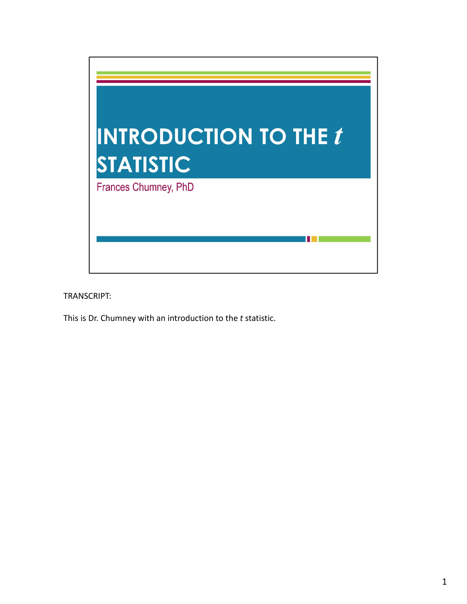

This is Dr. Chumney with an introduction to the *t* statistic.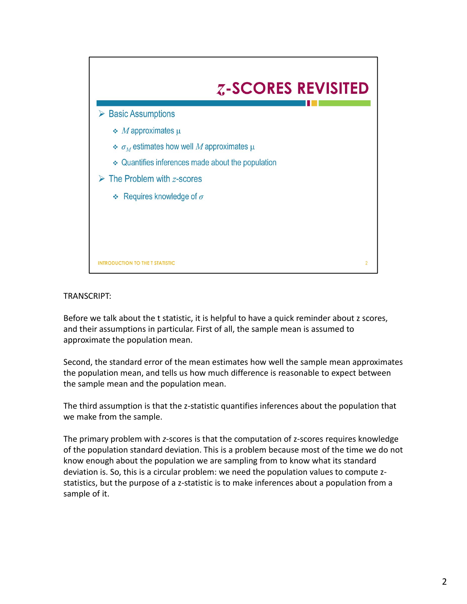

Before we talk about the t statistic, it is helpful to have a quick reminder about z scores, and their assumptions in particular. First of all, the sample mean is assumed to approximate the population mean.

Second, the standard error of the mean estimates how well the sample mean approximates the population mean, and tells us how much difference is reasonable to expect between the sample mean and the population mean.

The third assumption is that the z-statistic quantifies inferences about the population that we make from the sample.

The primary problem with *z*-scores is that the computation of *z*-scores requires knowledge of the population standard deviation. This is a problem because most of the time we do not know enough about the population we are sampling from to know what its standard deviation is. So, this is a circular problem: we need the population values to compute z‐ statistics, but the purpose of a z‐statistic is to make inferences about a population from a sample of it.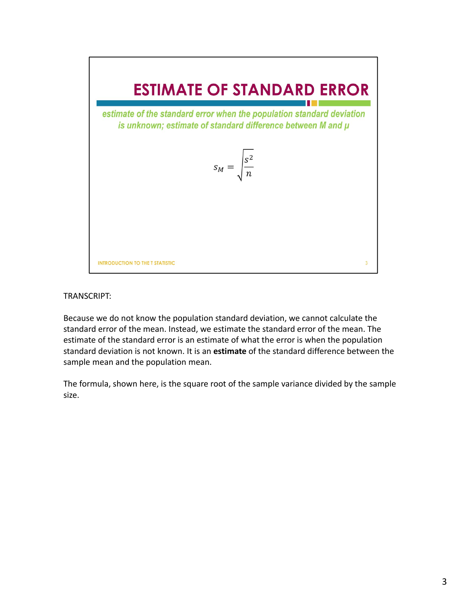

Because we do not know the population standard deviation, we cannot calculate the standard error of the mean. Instead, we estimate the standard error of the mean. The estimate of the standard error is an estimate of what the error is when the population standard deviation is not known. It is an **estimate** of the standard difference between the sample mean and the population mean.

The formula, shown here, is the square root of the sample variance divided by the sample size.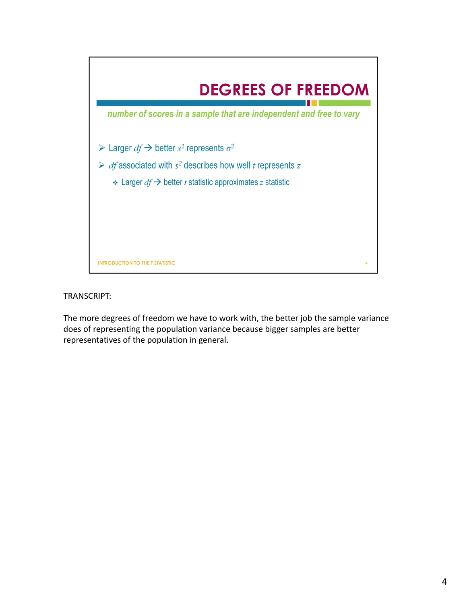

The more degrees of freedom we have to work with, the better job the sample variance does of representing the population variance because bigger samples are better representatives of the population in general.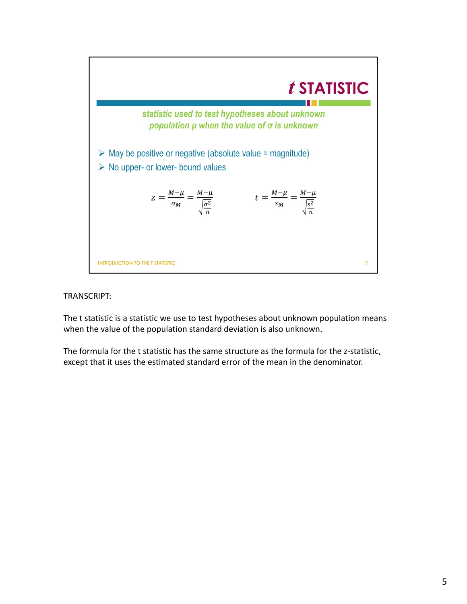

The t statistic is a statistic we use to test hypotheses about unknown population means when the value of the population standard deviation is also unknown.

The formula for the t statistic has the same structure as the formula for the z-statistic, except that it uses the estimated standard error of the mean in the denominator.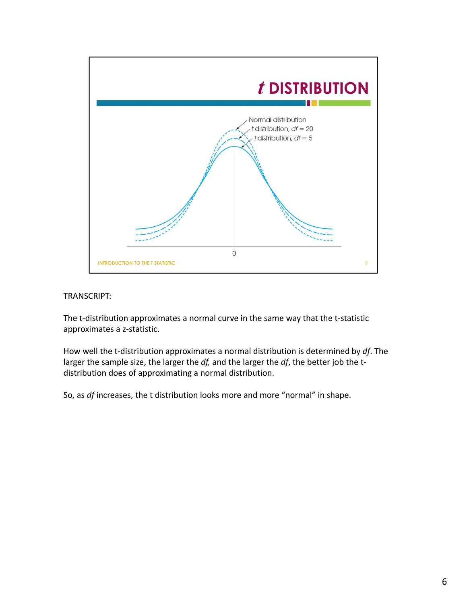

The t-distribution approximates a normal curve in the same way that the t-statistic approximates a z‐statistic.

How well the t‐distribution approximates a normal distribution is determined by *df*. The larger the sample size, the larger the *df,* and the larger the *df*, the better job the t‐ distribution does of approximating a normal distribution.

So, as *df* increases, the t distribution looks more and more "normal" in shape.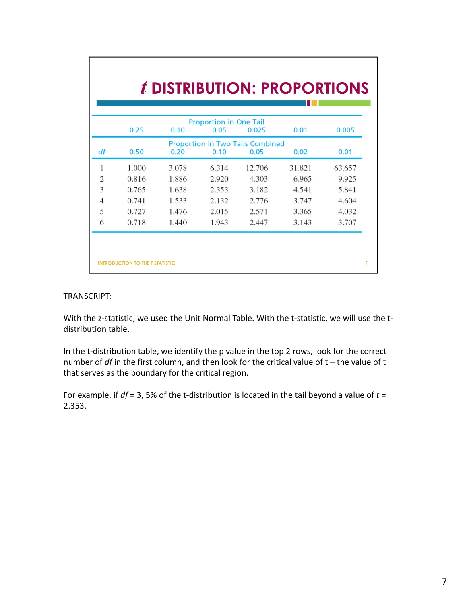|                | 0.25  | 0.10  | <b>Proportion in One Tail</b><br>0.05 | 0.025                                           | 0.01   | 0.005  |
|----------------|-------|-------|---------------------------------------|-------------------------------------------------|--------|--------|
| df             | 0.50  | 0.20  | 0.10                                  | <b>Proportion in Two Tails Combined</b><br>0.05 | 0.02   | 0.01   |
|                |       |       |                                       |                                                 |        |        |
| 1              | 1.000 | 3.078 | 6.314                                 | 12.706                                          | 31.821 | 63.657 |
| $\overline{c}$ | 0.816 | 1.886 | 2.920                                 | 4.303                                           | 6.965  | 9.925  |
| 3              | 0.765 | 1.638 | 2.353                                 | 3.182                                           | 4.541  | 5.841  |
| $\overline{4}$ | 0.741 | 1.533 | 2.132                                 | 2.776                                           | 3.747  | 4.604  |
| 5              | 0.727 | 1.476 | 2.015                                 | 2.571                                           | 3.365  | 4.032  |
| 6              | 0.718 | 1.440 | 1.943                                 | 2.447                                           | 3.143  | 3.707  |

With the z-statistic, we used the Unit Normal Table. With the t-statistic, we will use the tdistribution table.

In the t-distribution table, we identify the p value in the top 2 rows, look for the correct number of *df* in the first column, and then look for the critical value of t – the value of t that serves as the boundary for the critical region.

For example, if  $df = 3$ , 5% of the t-distribution is located in the tail beyond a value of  $t =$ 2.353.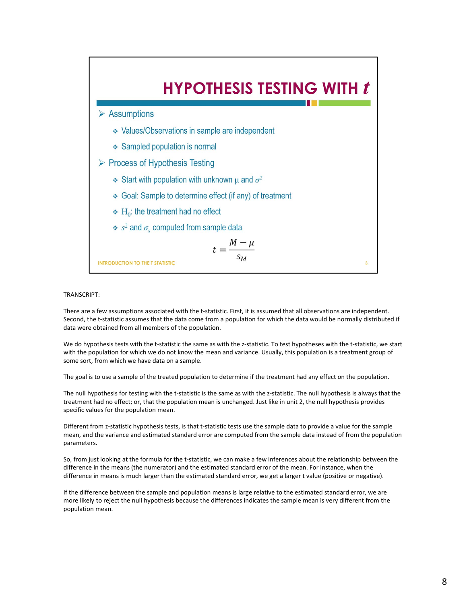

There are a few assumptions associated with the t-statistic. First, it is assumed that all observations are independent. Second, the t-statistic assumes that the data come from a population for which the data would be normally distributed if data were obtained from all members of the population.

We do hypothesis tests with the t-statistic the same as with the z-statistic. To test hypotheses with the t-statistic, we start with the population for which we do not know the mean and variance. Usually, this population is a treatment group of some sort, from which we have data on a sample.

The goal is to use a sample of the treated population to determine if the treatment had any effect on the population.

The null hypothesis for testing with the t-statistic is the same as with the z-statistic. The null hypothesis is always that the treatment had no effect; or, that the population mean is unchanged. Just like in unit 2, the null hypothesis provides specific values for the population mean.

Different from z-statistic hypothesis tests, is that t-statistic tests use the sample data to provide a value for the sample mean, and the variance and estimated standard error are computed from the sample data instead of from the population parameters.

So, from just looking at the formula for the t-statistic, we can make a few inferences about the relationship between the difference in the means (the numerator) and the estimated standard error of the mean. For instance, when the difference in means is much larger than the estimated standard error, we get a larger t value (positive or negative).

If the difference between the sample and population means is large relative to the estimated standard error, we are more likely to reject the null hypothesis because the differences indicates the sample mean is very different from the population mean.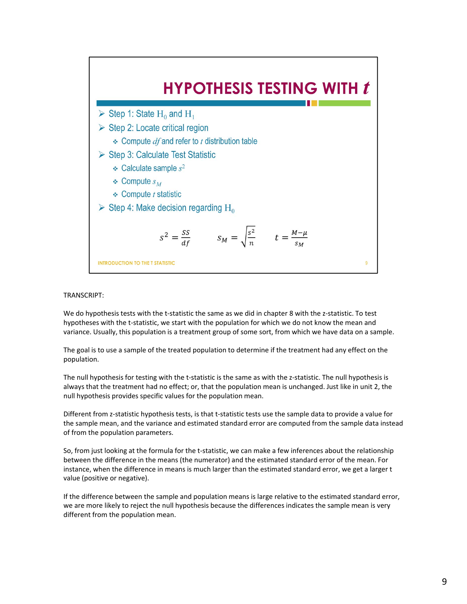

We do hypothesis tests with the t-statistic the same as we did in chapter 8 with the z-statistic. To test hypotheses with the t-statistic, we start with the population for which we do not know the mean and variance. Usually, this population is a treatment group of some sort, from which we have data on a sample.

The goal is to use a sample of the treated population to determine if the treatment had any effect on the population.

The null hypothesis for testing with the t-statistic is the same as with the z-statistic. The null hypothesis is always that the treatment had no effect; or, that the population mean is unchanged. Just like in unit 2, the null hypothesis provides specific values for the population mean.

Different from z‐statistic hypothesis tests, is that t‐statistic tests use the sample data to provide a value for the sample mean, and the variance and estimated standard error are computed from the sample data instead of from the population parameters.

So, from just looking at the formula for the t‐statistic, we can make a few inferences about the relationship between the difference in the means (the numerator) and the estimated standard error of the mean. For instance, when the difference in means is much larger than the estimated standard error, we get a larger t value (positive or negative).

If the difference between the sample and population means is large relative to the estimated standard error, we are more likely to reject the null hypothesis because the differences indicates the sample mean is very different from the population mean.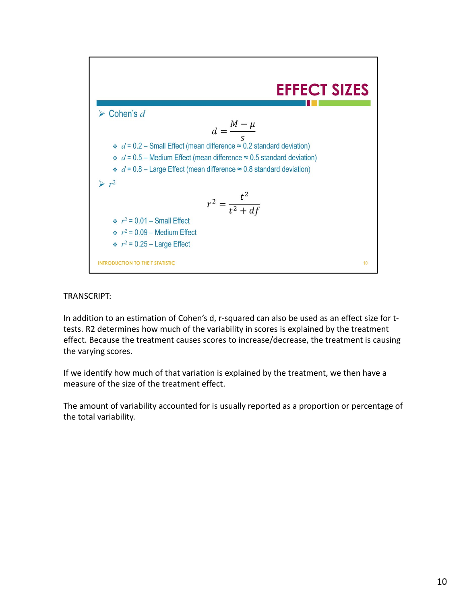

In addition to an estimation of Cohen's d, r-squared can also be used as an effect size for ttests. R2 determines how much of the variability in scores is explained by the treatment effect. Because the treatment causes scores to increase/decrease, the treatment is causing the varying scores.

If we identify how much of that variation is explained by the treatment, we then have a measure of the size of the treatment effect.

The amount of variability accounted for is usually reported as a proportion or percentage of the total variability.